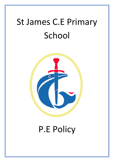# St James C.E Primary School



## P.E Policy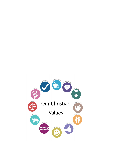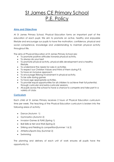### St James CE Primary School P.E. Policy

#### **Aims and Objectives**

At St James Primary School, Physical Education forms an important part of the education of each pupil. We aim to promote an active, healthy and enjoyable lifestyle and encourage our pupils to have the motivation, confidence, physical and social competence, knowledge and understanding to maintain physical activity throughout life.

The aims of Physical Education at St James Primary School are:

- To promote positive attitudes towards physical activity.
- To always do your best
- To promote physical activity, physical skills development and a healthy lifestyle.
- To understand the needs for rules in activities
- To respect our Christian Values and think of them during P.E.
- To have an inclusive approach
- To encourage lifelong involvement in physical activity.
- To be safe during games
- To have age appropriate activities.
- To provide equal opportunities for all children to achieve their full potential, through curricular and extra-curricular sessions.
- All pupils across the school to have a chance to compete and take part in a variety of clubs

#### **Curriculum**

Each child at St James Primary receives 2 hours of Physical Education curriculum time per week. The teaching of the Physical Education curriculum is broken into the following areas of activity:

- Dance (Autumn 1)
- Gymnastics (Autumn 2)
- Invasion Games & FUNS (Spring 1)
- Ball Skills & Net and Wall (Spring 2)
- Striking and Fielding & competition(Summer 1 & 2)
- Athletics/Sports Day (Summer 2)
- Swimming

The planning and delivery of each unit of work ensures all pupils have the opportunity to: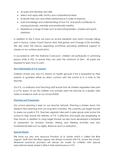- Acquire and develop new skills
- Select and apply skills, tactics and compositional ideas
- Evaluate their own and others performance in order to improve
- Gain knowledge and understanding of how P.E. and sports contributes to staying physically, mentally and emotionally healthy.
- Experience a range of roles such as becoming leaders, umpires and sports assistants.

In addition to the 2 hours we have an active breakfast club which includes taking part in Dance, Cyber Coach Dance Mats, Ball games and Change 4 Life Activities. We also have TDS Dance supporting lunchtimes providing additional support to classes on our outdoor sports pitch.

In accordance with the National Curriculum, children will participate in swimming lessons while in KS2, to ensure they can swim the minimum of 25m. All pupils are required to learn how to swim.

#### **Non Participation in P.E. Lessons**

Children should only miss P.E. lessons on health grounds if this is requested by their parents or guardian either by direct contact with the school or in a note to the teacher.

Our P.E. co-ordinator and Teaching staff ensure that all children regardless take part in a P.E. lesson. To do this children can actively assist the teacher as a leader, take notes or evidence work on our school IPADS.

#### **Planning and Progression**

Our school planning is kept on our teacher network. Planning is broken down into Medium term planning from our long term overview. We currently use Target Tracker to assess our pupils in P.E. Teachers regularly take part in peer group work across the school to help ensure the delivery of P.E. is effective and pupils are progressing as they should. In addition to using target tracker we also have developed a template of assessment for Outdoor Games, Striking and Fielding Activities and also Fundamental skills such as Agility, Balance and Co-ordination.

#### **Special Needs**

We have our very own resource Provision at St James which is called the Blue Lagoon. Staff from the Blue Lagoon are always involved with P.E. across the school. Wherever practical, provision will always be made for children with special educational needs where it affects their performance in P.E.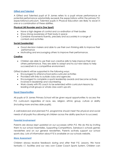#### **Gifted and Talented**

A Gifted and Talented pupil at St James refers to a pupil whose performance or potential performance substantially exceeds the expectations within the primary P.E. expectations/curriculum. Talented pupils in Physical Education are likely to excel in one or a combination of these abilities.

#### **Physical (All Rounder and in One Sport)**

- Have a high degree of control and co-ordination of their bodies
- Show strong awareness of their body in space
- Combine movements fluently, precisely and accurately in a range of contexts and activities

#### **Social (Leadership)**

- Good decision makers and able to use their own thinking skills to improve their performance
- Motivating and encouraging others to improve their performance.

#### **Creative**

 Children are able to use their own creative skills to help improve their and others performance. They are able to adapt and try out new ideas to help succeed/win in a competitive environment.

Gifted students will be supported in the following ways:

- Encouraged to attend school extra-curricular activities
- Provided with links to outside clubs and agencies
- Encouraged to complete a sports leadership awards and become actively involved in leadership and volunteering
- Work closely with PE coach to be extended within curriculum lessons by leading small groups or whole class warm ups etc

#### **Equal Opportunities**

All pupils at St James Primary School will be given equal opportunities to access the P.E. curriculum regardless of race, sex, religion, ethnic group, culture or ability (including more and less able pupils).

A well-balanced and planned P.E. programme should meet the physical and social needs of all pupils thus allowing all children across the ability spectrum to succeed.

#### **Parental Involvement**

Parents are always kept updated on our successes within P.E. We do this by inviting them to our school Assemblies, Supporting Competitions, Sainsbury's schools games newsletters and on our general newsletters. Parents actively support our school sports day. Lots of information about P.E Is available on our schools website.

#### **More Assessment**

Children always receive feedback during and after their P.E. Lessons. We have fantastic I.T. facilities and our very own Cyber Coach Sports System. Children can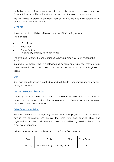actively compete with each other and they can always take pictures on our school I Pads which in turn will help them improve their techniques and performance.

We use smilies to promote excellent work during P.E. We also hold assemblies for competitions across the school.

#### **Conduct**

It is expected that children will wear the school PE kit during lessons. This includes:

- White T Shirt
- Black shorts
- Pumps/Trainers
- No jewellery or fancy hair accessories

The pupils can work with bare feet indoors during gymnastics. Tights must not be worn.

In outdoor P.E lessons, when it is cold, jogging bottoms and warm tops may be worn. These are available to purchase from school but are not statutory. No hats, gloves or scarves.

#### **Staff**

Staff can come to school suitably dressed. Staff should wear trainers and sportswear during P.E. lessons.

#### **Use and Storage of Apparatus**

Large apparatus is stored in the P.E. Cupboard in the hall and the children are taught how to move and lift the apparatus safely. Games equipment is stored Outside in our schools container.

#### **Extra-Curricular Activities**

We are committed to recognising the importance of physical activity of children outside the curriculum. We believe that links with local sporting clubs and organisations and the provision of extracurricular activities organised by the school is a positive experience.

Below are extracurricular activities led by our Sports Coach Mr Smith.

| Day    | Club                                   | Time | Year Group |
|--------|----------------------------------------|------|------------|
| Monday | Manchester City Coaching   3.15-4.15pm |      | KS2        |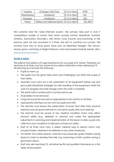| Tuesday   | Change 4 Life Club                       | $ 3.15 - 4.15$ pm | EYFS            |
|-----------|------------------------------------------|-------------------|-----------------|
| Wednesday | <b>Multisports</b>                       | $ 3.15 - 4.15$ pm | KS1             |
| Thursday  | Multisports                              | $ 3.15 - 4.15$ pm | KS <sub>2</sub> |
| Friday    | Gifted and Talented Sports   3.15-4.15pm |                   | KS1/KS2         |

We currently hold the 'Gold Kitemark award'. We actively take part in over 9 competitions outside of school time which include Cricket, Basketball, Football, Athletics, Gymnastics, Rounder's, Mini Tennis, Cross Country and Swimming. In the previous year we was successful in 5 finals. We aim to continue our success. We actively have links to local sports clubs such as Delamere Rangers, TDS Dance, Murray sports, swimming at Wright Robinson, East Manchester Football, Karate, Ella's Dance and Gymnastics.

#### **Health & Safety**

We believe that safety is of huge importance for our pupils at St James. Therefore our teachers at all times must be aware of any safety implications when delivering P.E. All planning must include the following:

- Pupils to warm up
- The pupils must be given tasks which are challenging, but within the scope of their ability.
- Teachers must carry out a risk assessment of all equipment before use and give pupils disciplined strategies for safe handling of the equipment whilst the work is in progress and safe storage when the work is complete.
- The sports hall or outdoor pitch must be safe to use
- All jewellery to be removed
- Long hair should be secured as appropriate to the activity at all times.
- Appropriate clothing must be worn by pupils and staff.
- The teacher must ensure the preservation of body heat after hard physical exercise and use good methods to cool down pupils after such exercise.
- The teacher must be aware of any medical condition which may affect physical ability (e.g. diabetes or asthma) and make the appropriate adjustments in planning and implementation of the lesson to allow pupils who suffer from any conditions to take part actively but safely.
- Staff at all times must carry a yellow medical bag to lessons which may include inhalers, treatment for diabetes or any other medicines.
- For Health and safety reasons, teachers may physically guide children during lessons in order to develop their skills. E.g. correcting a child's position during a gymnastics lesson.
- Staff who are teaching P.E. will either be first aid qualified themselves or a first aider will be present.